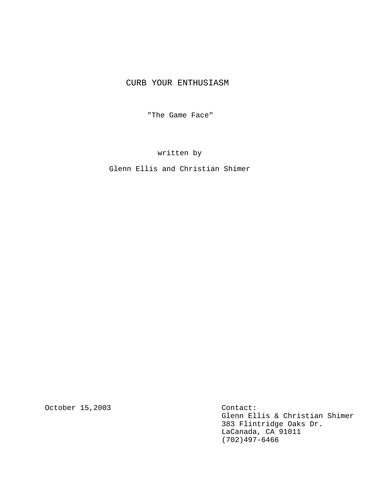# CURB YOUR ENTHUSIASM

"The Game Face"

written by

Glenn Ellis and Christian Shimer

October 15,2003

Contact: Glenn Ellis & Christian Shimer 383 Flintridge Oaks Dr. LaCanada, CA 91011 (702)497-6466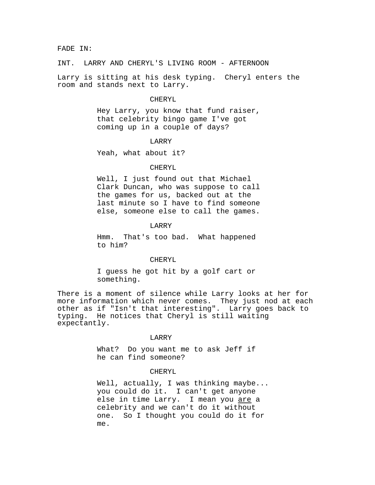### FADE IN:

INT. LARRY AND CHERYL'S LIVING ROOM - AFTERNOON

Larry is sitting at his desk typing. Cheryl enters the room and stands next to Larry.

### CHERYL

Hey Larry, you know that fund raiser, that celebrity bingo game I've got coming up in a couple of days?

## LARRY

Yeah, what about it?

### CHERYL

Well, I just found out that Michael Clark Duncan, who was suppose to call the games for us, backed out at the last minute so I have to find someone else, someone else to call the games.

# LARRY

Hmm. That's too bad. What happened to him?

### CHERYL

I guess he got hit by a golf cart or something.

There is a moment of silence while Larry looks at her for more information which never comes. They just nod at each other as if "Isn't that interesting". Larry goes back to typing. He notices that Cheryl is still waiting expectantly.

#### LARRY

What? Do you want me to ask Jeff if he can find someone?

## CHERYL

Well, actually, I was thinking maybe... you could do it**.** I can't get anyone else in time Larry. I mean you are a celebrity and we can't do it without one. So I thought you could do it for me.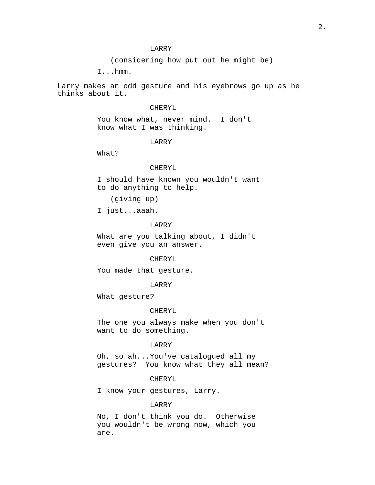(considering how put out he might be)

I...hmm.

Larry makes an odd gesture and his eyebrows go up as he thinks about it.

# CHERYL

You know what, never mind. I don't know what I was thinking.

# LARRY

What?

# CHERYL

I should have known you wouldn't want to do anything to help.

(giving up)

I just...aaah.

## LARRY

What are you talking about, I didn't even give you an answer.

### CHERYL

You made that gesture.

### LARRY

What gesture?

### CHERYL

The one you always make when you don't want to do something.

# LARRY

Oh, so ah...You've catalogued all my gestures? You know what they all mean?

## CHERYL

I know your gestures, Larry.

# LARRY

No, I don't think you do. Otherwise you wouldn't be wrong now, which you are.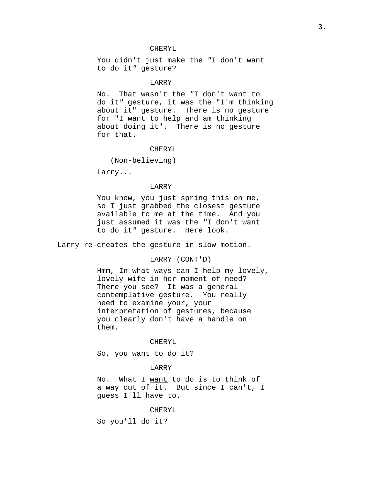# CHERYL

You didn't just make the "I don't want to do it" gesture?

# **LARRY**

No. That wasn't the "I don't want to do it" gesture, it was the "I'm thinking about it" gesture. There is no gesture for "I want to help and am thinking about doing it". There is no gesture for that.

### CHERYL

(Non-believing)

Larry...

# LARRY

You know, you just spring this on me, so I just grabbed the closest gesture available to me at the time. And you just assumed it was the "I don't want to do it" gesture. Here look.

Larry re-creates the gesture in slow motion.

# LARRY (CONT'D)

Hmm, In what ways can I help my lovely, lovely wife in her moment of need? There you see? It was a general contemplative gesture. You really need to examine your, your interpretation of gestures, because you clearly don't have a handle on them.

### CHERYL

So, you want to do it?

### LARRY

No. What I want to do is to think of a way out of it. But since I can't, I guess I'll have to.

#### CHERYL

So you'll do it?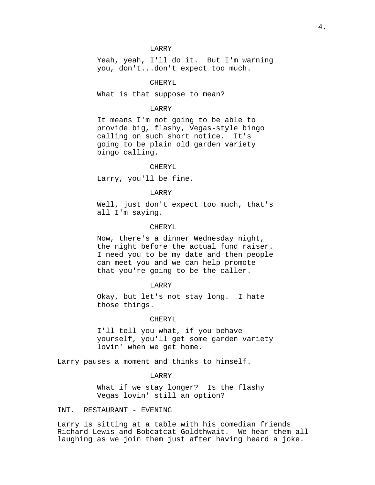Yeah, yeah, I'll do it. But I'm warning you, don't...don't expect too much.

# CHERYL

What is that suppose to mean?

### LARRY

It means I'm not going to be able to provide big, flashy, Vegas-style bingo calling on such short notice. It's going to be plain old garden variety bingo calling.

#### CHERYL

Larry, you'll be fine.

# LARRY

Well, just don't expect too much, that's all I'm saying.

### CHERYL

Now, there's a dinner Wednesday night, the night before the actual fund raiser. I need you to be my date and then people can meet you and we can help promote that you're going to be the caller.

#### LARRY

Okay, but let's not stay long. I hate those things.

### CHERYL

I'll tell you what, if you behave yourself, you'll get some garden variety lovin' when we get home.

Larry pauses a moment and thinks to himself.

### LARRY

What if we stay longer? Is the flashy Vegas lovin' still an option?

## INT. RESTAURANT - EVENING

Larry is sitting at a table with his comedian friends Richard Lewis and Bobcatcat Goldthwait. We hear them all laughing as we join them just after having heard a joke.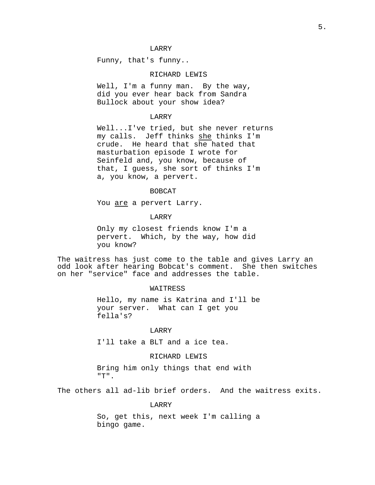Funny, that's funny..

# RICHARD LEWIS

Well, I'm a funny man. By the way, did you ever hear back from Sandra Bullock about your show idea?

## LARRY

Well...I've tried, but she never returns my calls. Jeff thinks she thinks I'm crude. He heard that she hated that masturbation episode I wrote for Seinfeld and, you know, because of that, I guess, she sort of thinks I'm a, you know, a pervert.

### BOBCAT

You are a pervert Larry.

### LARRY

Only my closest friends know I'm a pervert. Which, by the way, how did you know?

The waitress has just come to the table and gives Larry an odd look after hearing Bobcat's comment. She then switches on her "service" face and addresses the table.

### WAITRESS

Hello, my name is Katrina and I'll be your server. What can I get you fella's?

# LARRY

I'll take a BLT and a ice tea.

## RICHARD LEWIS

Bring him only things that end with "T".

The others all ad-lib brief orders. And the waitress exits.

### LARRY

So, get this, next week I'm calling a bingo game.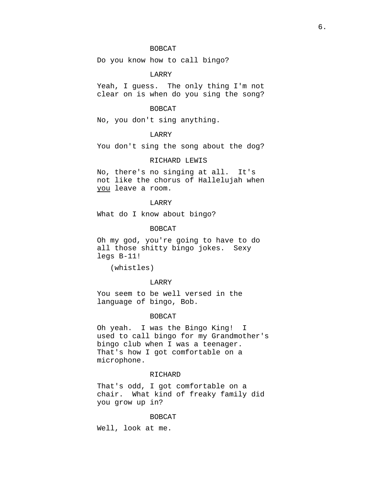# BOBCAT

Do you know how to call bingo?

LARRY

Yeah, I guess. The only thing I'm not clear on is when do you sing the song?

# BOBCAT

No, you don't sing anything.

# LARRY

You don't sing the song about the dog?

### RICHARD LEWIS

No, there's no singing at all. It's not like the chorus of Hallelujah when you leave a room.

# LARRY

What do I know about bingo?

# BOBCAT

Oh my god, you're going to have to do all those shitty bingo jokes. Sexy legs B-11!

(whistles)

## LARRY

You seem to be well versed in the language of bingo, Bob.

### BOBCAT

Oh yeah. I was the Bingo King! I used to call bingo for my Grandmother's bingo club when I was a teenager. That's how I got comfortable on a microphone.

#### RICHARD

That's odd, I got comfortable on a chair. What kind of freaky family did you grow up in?

#### BOBCAT

Well, look at me.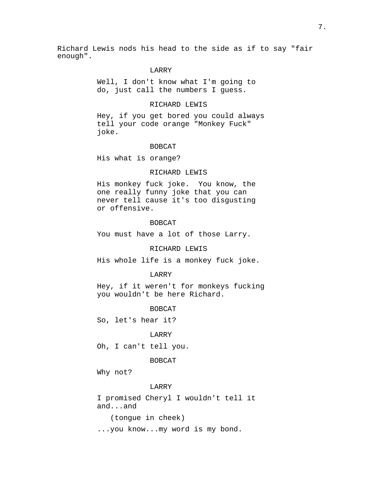Richard Lewis nods his head to the side as if to say "fair enough".

# LARRY

Well, I don't know what I'm going to do, just call the numbers I guess.

# RICHARD LEWIS

Hey, if you get bored you could always tell your code orange "Monkey Fuck" joke.

### BOBCAT

His what is orange?

### RICHARD LEWIS

His monkey fuck joke. You know, the one really funny joke that you can never tell cause it's too disgusting or offensive.

#### BOBCAT

You must have a lot of those Larry.

### RICHARD LEWIS

His whole life is a monkey fuck joke.

#### LARRY

Hey, if it weren't for monkeys fucking you wouldn't be here Richard.

#### BOBCAT

So, let's hear it?

## LARRY

Oh, I can't tell you.

### BOBCAT

Why not?

### LARRY

I promised Cheryl I wouldn't tell it and...and

(tongue in cheek)

...you know...my word is my bond.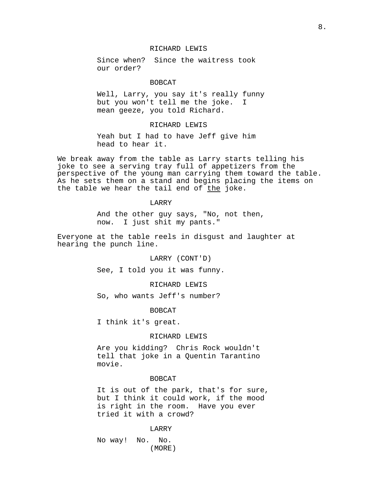# RICHARD LEWIS

Since when? Since the waitress took our order?

### BOBCAT

Well, Larry, you say it's really funny but you won't tell me the joke. I mean geeze, you told Richard.

# RICHARD LEWIS

Yeah but I had to have Jeff give him head to hear it.

We break away from the table as Larry starts telling his joke to see a serving tray full of appetizers from the perspective of the young man carrying them toward the table. As he sets them on a stand and begins placing the items on the table we hear the tail end of the joke.

### LARRY

And the other guy says, "No, not then, now. I just shit my pants."

Everyone at the table reels in disgust and laughter at hearing the punch line.

LARRY (CONT'D)

See, I told you it was funny.

# RICHARD LEWIS

So, who wants Jeff's number?

BOBCAT

I think it's great.

# RICHARD LEWIS

Are you kidding? Chris Rock wouldn't tell that joke in a Quentin Tarantino movie.

### **BOBCAT**

It is out of the park, that's for sure, but I think it could work, if the mood is right in the room. Have you ever tried it with a crowd?

### LARRY

No way! No. No. (MORE)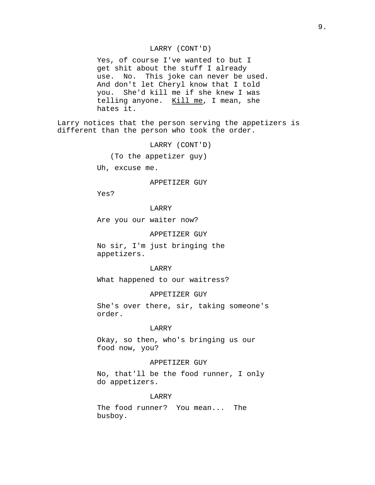## LARRY (CONT'D)

Yes, of course I've wanted to but I get shit about the stuff I already use. No. This joke can never be used. And don't let Cheryl know that I told you. She'd kill me if she knew I was telling anyone.  $Kill me$ , I mean, she hates it.

Larry notices that the person serving the appetizers is different than the person who took the order.

LARRY (CONT'D)

(To the appetizer guy)

Uh, excuse me.

## APPETIZER GUY

Yes?

## LARRY

Are you our waiter now?

#### APPETIZER GUY

No sir, I'm just bringing the appetizers.

#### LARRY

What happened to our waitress?

#### APPETIZER GUY

She's over there, sir, taking someone's order.

## LARRY

Okay, so then, who's bringing us our food now, you?

### APPETIZER GUY

No, that'll be the food runner, I only do appetizers.

#### LARRY

The food runner? You mean... The busboy.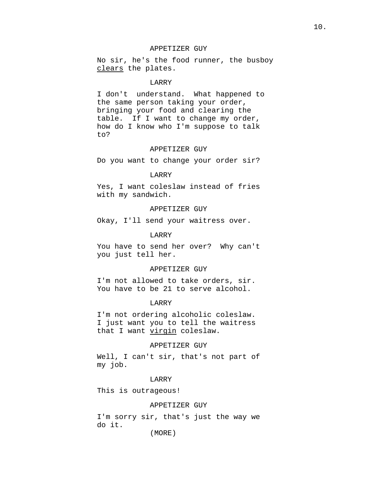# APPETIZER GUY

No sir, he's the food runner, the busboy clears the plates.

# LARRY

I don't understand. What happened to the same person taking your order, bringing your food and clearing the table. If I want to change my order, how do I know who I'm suppose to talk to?

### APPETIZER GUY

Do you want to change your order sir?

# LARRY

Yes, I want coleslaw instead of fries with my sandwich.

# APPETIZER GUY

Okay, I'll send your waitress over.

# LARRY

You have to send her over? Why can't you just tell her.

#### APPETIZER GUY

I'm not allowed to take orders, sir. You have to be 21 to serve alcohol.

# LARRY

I'm not ordering alcoholic coleslaw. I just want you to tell the waitress that I want virgin coleslaw.

### APPETIZER GUY

Well, I can't sir, that's not part of my job.

### LARRY

This is outrageous!

#### APPETIZER GUY

I'm sorry sir, that's just the way we do it.

(MORE)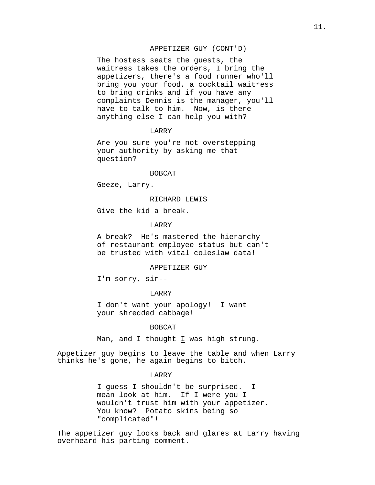# APPETIZER GUY (CONT'D)

The hostess seats the guests, the waitress takes the orders, I bring the appetizers, there's a food runner who'll bring you your food, a cocktail waitress to bring drinks and if you have any complaints Dennis is the manager, you'll have to talk to him. Now, is there anything else I can help you with?

#### LARRY

Are you sure you're not overstepping your authority by asking me that question?

### **BOBCAT**

Geeze, Larry.

### RICHARD LEWIS

Give the kid a break.

### LARRY

A break? He's mastered the hierarchy of restaurant employee status but can't be trusted with vital coleslaw data!

### APPETIZER GUY

I'm sorry, sir--

### LARRY

I don't want your apology! I want your shredded cabbage!

## BOBCAT

Man, and I thought  $I$  was high strung.

Appetizer guy begins to leave the table and when Larry thinks he's gone, he again begins to bitch.

# **LARRY**

I guess I shouldn't be surprised. I mean look at him. If I were you I wouldn't trust him with your appetizer. You know? Potato skins being so "complicated"!

The appetizer guy looks back and glares at Larry having overheard his parting comment.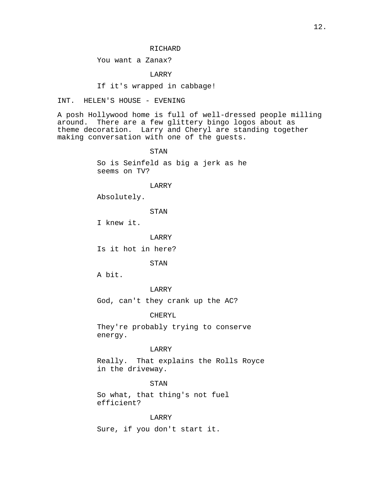### RICHARD

# You want a Zanax?

# LARRY

# If it's wrapped in cabbage!

# INT. HELEN'S HOUSE - EVENING

A posh Hollywood home is full of well-dressed people milling around. There are a few glittery bingo logos about as theme decoration. Larry and Cheryl are standing together making conversation with one of the guests.

### STAN

So is Seinfeld as big a jerk as he seems on TV?

### LARRY

Absolutely.

STAN

I knew it.

#### LARRY

Is it hot in here?

STAN

A bit.

# LARRY

God, can't they crank up the AC?

# CHERYL

They're probably trying to conserve energy.

## LARRY

Really. That explains the Rolls Royce in the driveway.

### STAN

So what, that thing's not fuel efficient?

# LARRY

Sure, if you don't start it.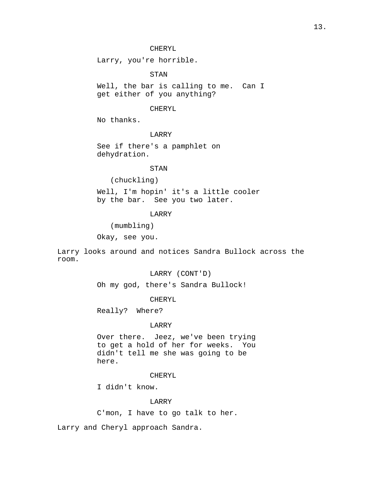Larry, you're horrible.

STAN

Well, the bar is calling to me. Can I get either of you anything?

# CHERYL

No thanks.

# LARRY

See if there's a pamphlet on dehydration.

# STAN

(chuckling)

Well, I'm hopin' it's a little cooler by the bar. See you two later.

# LARRY

(mumbling)

Okay, see you.

Larry looks around and notices Sandra Bullock across the room.

# LARRY (CONT'D)

Oh my god, there's Sandra Bullock!

# CHERYL

Really? Where?

### LARRY

Over there. Jeez, we've been trying to get a hold of her for weeks. You didn't tell me she was going to be here.

# CHERYL

I didn't know.

# LARRY

C'mon, I have to go talk to her.

Larry and Cheryl approach Sandra.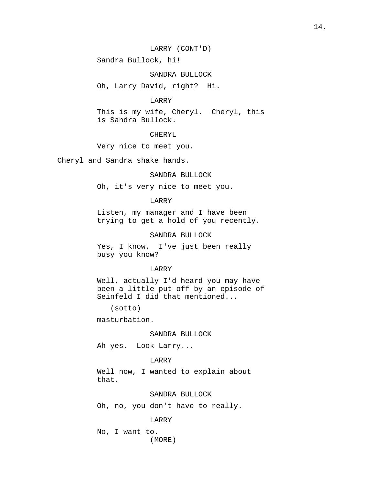Sandra Bullock, hi!

SANDRA BULLOCK

Oh, Larry David, right? Hi.

# LARRY

This is my wife, Cheryl. Cheryl, this is Sandra Bullock.

# CHERYL

Very nice to meet you.

Cheryl and Sandra shake hands.

# SANDRA BULLOCK

Oh, it's very nice to meet you.

### LARRY

Listen, my manager and I have been trying to get a hold of you recently.

### SANDRA BULLOCK

Yes, I know. I've just been really busy you know?

# LARRY

Well, actually I'd heard you may have been a little put off by an episode of Seinfeld I did that mentioned...

(sotto)

masturbation.

## SANDRA BULLOCK

Ah yes. Look Larry...

# LARRY

Well now, I wanted to explain about that.

# SANDRA BULLOCK

Oh, no, you don't have to really.

### LARRY

No, I want to. (MORE)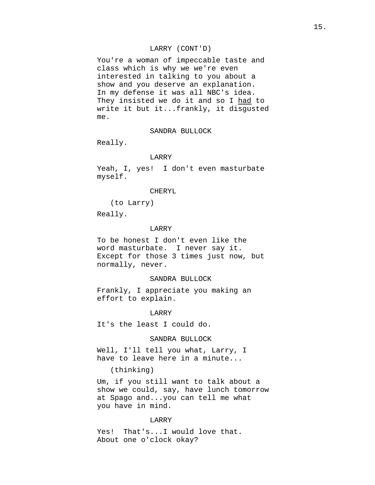# LARRY (CONT'D)

You're a woman of impeccable taste and class which is why we we're even interested in talking to you about a show and you deserve an explanation. In my defense it was all NBC's idea. They insisted we do it and so I had to write it but it...frankly, it disgusted me.

# SANDRA BULLOCK

Really.

## LARRY

Yeah, I, yes! I don't even masturbate myself.

# CHERYL

(to Larry)

Really.

# LARRY

To be honest I don't even like the word masturbate. I never say it. Except for those 3 times just now, but normally, never.

### SANDRA BULLOCK

Frankly, I appreciate you making an effort to explain.

#### LARRY

It's the least I could do.

### SANDRA BULLOCK

Well, I'll tell you what, Larry, I have to leave here in a minute...

(thinking)

Um, if you still want to talk about a show we could, say, have lunch tomorrow at Spago and...you can tell me what you have in mind.

### LARRY

Yes! That's...I would love that. About one o'clock okay?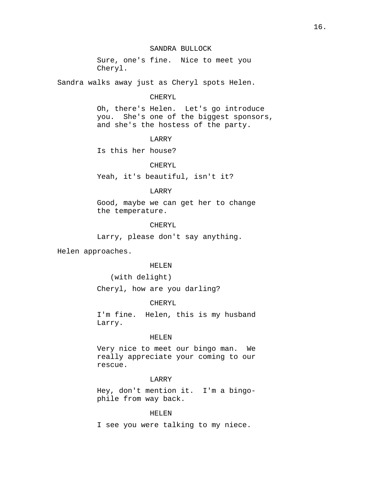# SANDRA BULLOCK

Sure, one's fine. Nice to meet you Cheryl.

Sandra walks away just as Cheryl spots Helen.

### CHERYL

Oh, there's Helen. Let's go introduce you. She's one of the biggest sponsors, and she's the hostess of the party.

### LARRY

Is this her house?

# CHERYL

Yeah, it's beautiful, isn't it?

## LARRY

Good, maybe we can get her to change the temperature.

# CHERYL

Larry, please don't say anything.

Helen approaches.

### HELEN

(with delight)

Cheryl, how are you darling?

# CHERYL

I'm fine. Helen, this is my husband Larry.

# HELEN

Very nice to meet our bingo man. We really appreciate your coming to our rescue.

## LARRY

Hey, don't mention it. I'm a bingophile from way back.

# HELEN

I see you were talking to my niece.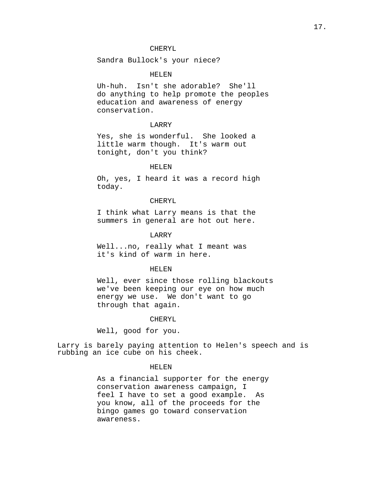# CHERYL

Sandra Bullock's your niece?

## HELEN

Uh-huh. Isn't she adorable? She'll do anything to help promote the peoples education and awareness of energy conservation.

# LARRY

Yes, she is wonderful. She looked a little warm though. It's warm out tonight, don't you think?

#### HELEN

Oh, yes, I heard it was a record high today.

## CHERYL

I think what Larry means is that the summers in general are hot out here.

### LARRY

Well...no, really what I meant was it's kind of warm in here.

### HELEN

Well, ever since those rolling blackouts we've been keeping our eye on how much energy we use. We don't want to go through that again.

#### CHERYL

Well, good for you.

Larry is barely paying attention to Helen's speech and is rubbing an ice cube on his cheek.

# HELEN

As a financial supporter for the energy conservation awareness campaign, I feel I have to set a good example. As you know, all of the proceeds for the bingo games go toward conservation awareness.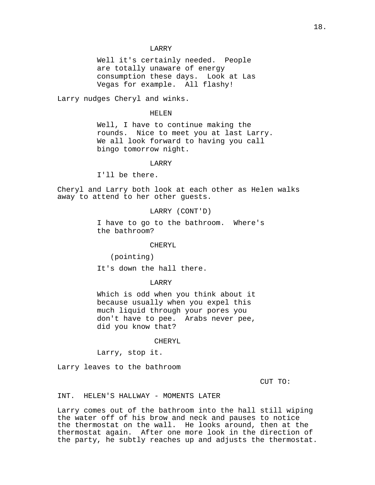Well it's certainly needed. People are totally unaware of energy consumption these days. Look at Las Vegas for example. All flashy!

Larry nudges Cheryl and winks.

#### HELEN

Well, I have to continue making the rounds. Nice to meet you at last Larry. We all look forward to having you call bingo tomorrow night.

### LARRY

I'll be there.

Cheryl and Larry both look at each other as Helen walks away to attend to her other guests.

### LARRY (CONT'D)

I have to go to the bathroom. Where's the bathroom?

#### CHERYL

(pointing)

It's down the hall there.

### LARRY

Which is odd when you think about it because usually when you expel this much liquid through your pores you don't have to pee. Arabs never pee, did you know that?

#### CHERYL

Larry, stop it.

Larry leaves to the bathroom

CUT TO:

## INT. HELEN'S HALLWAY - MOMENTS LATER

Larry comes out of the bathroom into the hall still wiping the water off of his brow and neck and pauses to notice the thermostat on the wall. He looks around, then at the thermostat again. After one more look in the direction of the party, he subtly reaches up and adjusts the thermostat.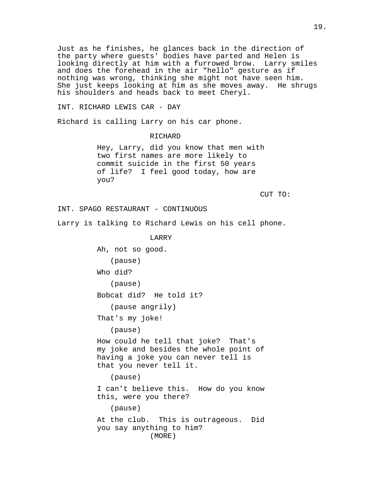Just as he finishes, he glances back in the direction of the party where guests' bodies have parted and Helen is looking directly at him with a furrowed brow. Larry smiles and does the forehead in the air "hello" gesture as if nothing was wrong, thinking she might not have seen him. She just keeps looking at him as she moves away. He shrugs his shoulders and heads back to meet Cheryl.

INT. RICHARD LEWIS CAR - DAY

Richard is calling Larry on his car phone.

RICHARD

Hey, Larry, did you know that men with two first names are more likely to commit suicide in the first 50 years of life? I feel good today, how are you?

CUT TO:

```
INT. SPAGO RESTAURANT - CONTINUOUS
```
Larry is talking to Richard Lewis on his cell phone.

LARRY

Ah, not so good.

(pause)

Who did?

(pause)

Bobcat did? He told it?

(pause angrily)

That's my joke!

(pause)

How could he tell that joke? That's my joke and besides the whole point of having a joke you can never tell is that you never tell it.

(pause)

I can't believe this. How do you know this, were you there?

(pause)

At the club. This is outrageous. Did you say anything to him? (MORE)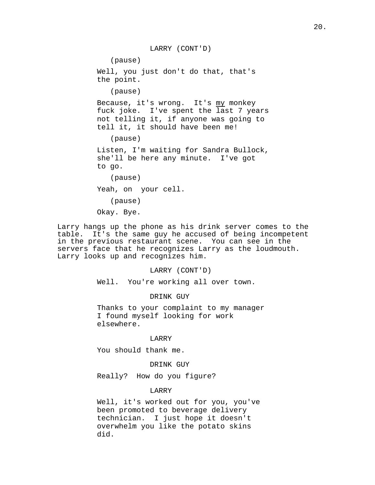LARRY (CONT'D) (pause) Well, you just don't do that, that's the point. (pause) Because, it's wrong. It's my monkey fuck joke. I've spent the last 7 years not telling it, if anyone was going to tell it, it should have been me! (pause) Listen, I'm waiting for Sandra Bullock, she'll be here any minute. I've got to go. (pause) Yeah, on your cell. (pause)

Okay. Bye.

Larry hangs up the phone as his drink server comes to the table. It's the same guy he accused of being incompetent in the previous restaurant scene. You can see in the servers face that he recognizes Larry as the loudmouth. Larry looks up and recognizes him.

# LARRY (CONT'D)

Well. You're working all over town.

DRINK GUY

Thanks to your complaint to my manager I found myself looking for work elsewhere.

### LARRY

You should thank me.

# DRINK GUY

Really? How do you figure?

# LARRY

Well, it's worked out for you, you've been promoted to beverage delivery technician. I just hope it doesn't overwhelm you like the potato skins did.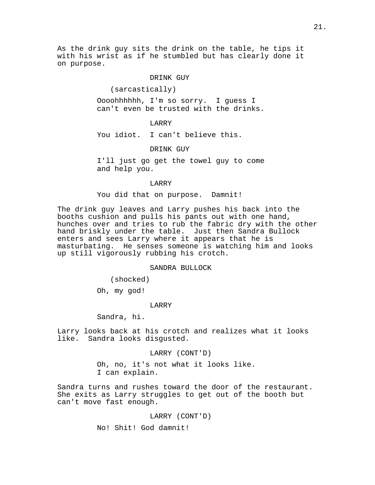As the drink guy sits the drink on the table, he tips it with his wrist as if he stumbled but has clearly done it on purpose.

### DRINK GUY

### (sarcastically)

Oooohhhhhh, I'm so sorry. I guess I can't even be trusted with the drinks.

## LARRY

You idiot. I can't believe this.

DRINK GUY

I'll just go get the towel guy to come and help you.

### LARRY

You did that on purpose. Damnit!

The drink guy leaves and Larry pushes his back into the booths cushion and pulls his pants out with one hand, hunches over and tries to rub the fabric dry with the other hand briskly under the table. Just then Sandra Bullock enters and sees Larry where it appears that he is masturbating. He senses someone is watching him and looks up still vigorously rubbing his crotch.

### SANDRA BULLOCK

(shocked)

Oh, my god!

#### LARRY

Sandra, hi.

Larry looks back at his crotch and realizes what it looks like. Sandra looks disgusted.

### LARRY (CONT'D)

Oh, no, it's not what it looks like. I can explain.

Sandra turns and rushes toward the door of the restaurant. She exits as Larry struggles to get out of the booth but can't move fast enough.

LARRY (CONT'D)

No! Shit! God damnit!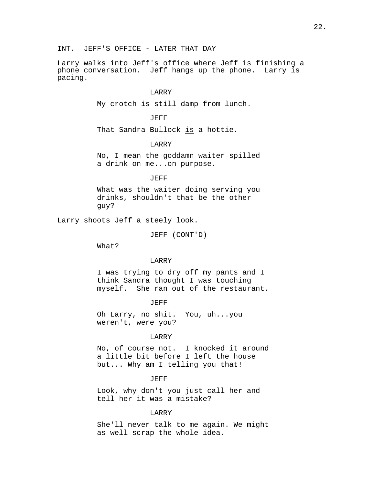Larry walks into Jeff's office where Jeff is finishing a phone conversation. Jeff hangs up the phone. Larry is pacing.

# LARRY

My crotch is still damp from lunch.

# JEFF

That Sandra Bullock is a hottie.

## LARRY

No, I mean the goddamn waiter spilled a drink on me...on purpose.

### JEFF

What was the waiter doing serving you drinks, shouldn't that be the other guy?

Larry shoots Jeff a steely look.

JEFF (CONT'D)

What?

# LARRY

I was trying to dry off my pants and I think Sandra thought I was touching myself. She ran out of the restaurant.

#### JEFF

Oh Larry, no shit. You, uh...you weren't, were you?

#### LARRY

No, of course not. I knocked it around a little bit before I left the house but... Why am I telling you that!

#### JEFF

Look, why don't you just call her and tell her it was a mistake?

### LARRY

She'll never talk to me again. We might as well scrap the whole idea.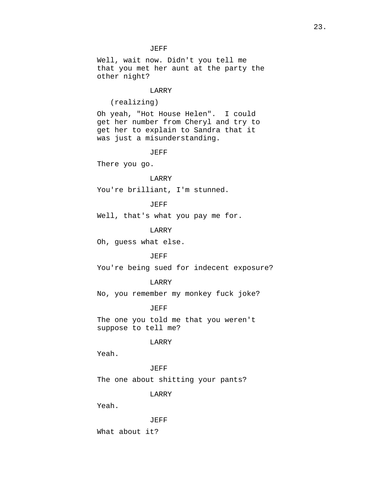## JEFF

Well, wait now. Didn't you tell me that you met her aunt at the party the other night?

# LARRY

(realizing)

Oh yeah, "Hot House Helen". I could get her number from Cheryl and try to get her to explain to Sandra that it was just a misunderstanding.

JEFF

There you go.

## LARRY

You're brilliant, I'm stunned.

JEFF

Well, that's what you pay me for.

LARRY

Oh, guess what else.

### JEFF

You're being sued for indecent exposure?

### LARRY

No, you remember my monkey fuck joke?

### JEFF

The one you told me that you weren't suppose to tell me?

# LARRY

Yeah.

# JEFF

The one about shitting your pants?

# LARRY

Yeah.

JEFF

What about it?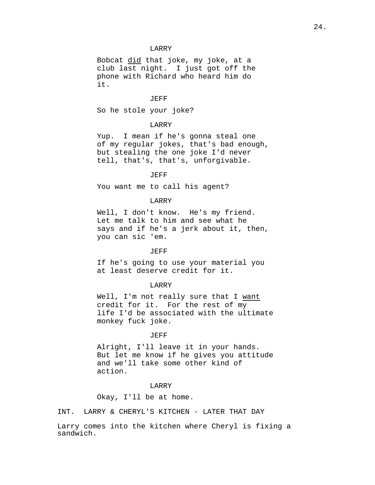Bobcat did that joke, my joke, at a club last night. I just got off the phone with Richard who heard him do it.

## JEFF

So he stole your joke?

# LARRY

Yup. I mean if he's gonna steal one of my regular jokes, that's bad enough, but stealing the one joke I'd never tell, that's, that's, unforgivable.

# JEFF

You want me to call his agent?

## LARRY

Well, I don't know. He's my friend. Let me talk to him and see what he says and if he's a jerk about it, then, you can sic 'em.

### JEFF

If he's going to use your material you at least deserve credit for it.

#### LARRY

Well, I'm not really sure that I want credit for it. For the rest of my life I'd be associated with the ultimate monkey fuck joke.

#### JEFF

Alright, I'll leave it in your hands. But let me know if he gives you attitude and we'll take some other kind of action.

### LARRY

Okay, I'll be at home.

INT. LARRY & CHERYL'S KITCHEN - LATER THAT DAY

Larry comes into the kitchen where Cheryl is fixing a sandwich.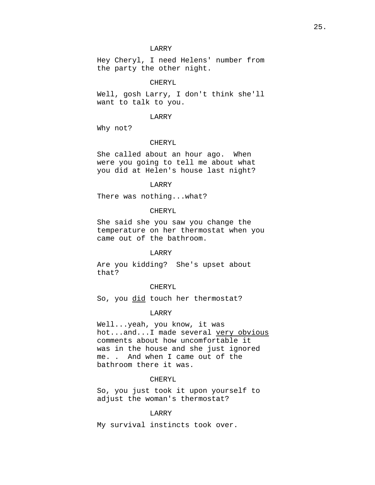Hey Cheryl, I need Helens' number from the party the other night.

# CHERYL

Well, gosh Larry, I don't think she'll want to talk to you.

#### LARRY

Why not?

#### CHERYL

She called about an hour ago. When were you going to tell me about what you did at Helen's house last night?

### LARRY

There was nothing...what?

### CHERYL

She said she you saw you change the temperature on her thermostat when you came out of the bathroom.

### LARRY

Are you kidding? She's upset about that?

### CHERYL

So, you did touch her thermostat?

# LARRY

Well...yeah, you know, it was hot...and...I made several very obvious comments about how uncomfortable it was in the house and she just ignored me. . And when I came out of the bathroom there it was.

### CHERYL

So, you just took it upon yourself to adjust the woman's thermostat?

### LARRY

My survival instincts took over.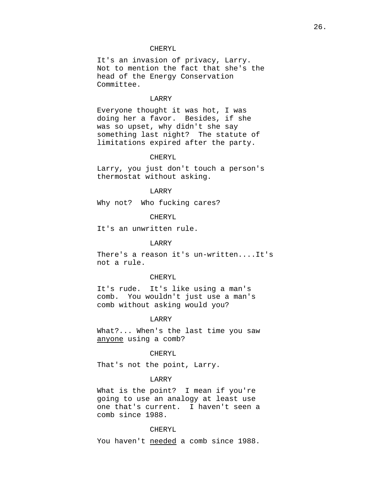# CHERYL

It's an invasion of privacy, Larry. Not to mention the fact that she's the head of the Energy Conservation Committee.

### LARRY

Everyone thought it was hot, I was doing her a favor. Besides, if she was so upset, why didn't she say something last night? The statute of limitations expired after the party.

### CHERYL

Larry, you just don't touch a person's thermostat without asking.

### LARRY

Why not? Who fucking cares?

#### CHERYL

It's an unwritten rule.

## LARRY

There's a reason it's un-written....It's not a rule.

#### CHERYL

It's rude. It's like using a man's comb. You wouldn't just use a man's comb without asking would you?

### LARRY

What?... When's the last time you saw anyone using a comb?

# CHERYL

That's not the point, Larry.

#### LARRY

What is the point? I mean if you're going to use an analogy at least use one that's current. I haven't seen a comb since 1988.

### CHERYL

You haven't needed a comb since 1988.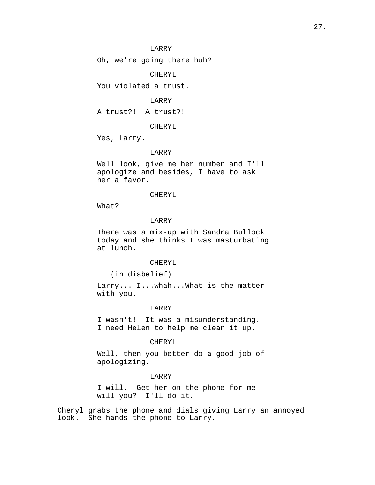Oh, we're going there huh?

CHERYL

You violated a trust.

# LARRY

A trust?! A trust?!

#### CHERYL

Yes, Larry.

### LARRY

Well look, give me her number and I'll apologize and besides, I have to ask her a favor.

### CHERYL

What?

# LARRY

There was a mix-up with Sandra Bullock today and she thinks I was masturbating at lunch.

### CHERYL

(in disbelief)

Larry... I...whah...What is the matter with you.

### LARRY

I wasn't! It was a misunderstanding. I need Helen to help me clear it up.

# CHERYL

Well, then you better do a good job of apologizing.

### LARRY

I will. Get her on the phone for me will you? I'll do it.

Cheryl grabs the phone and dials giving Larry an annoyed look. She hands the phone to Larry.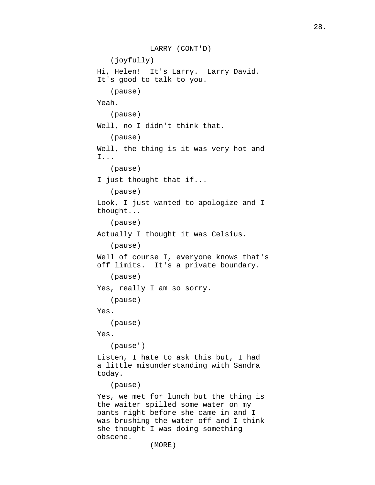```
LARRY (CONT'D)
   (joyfully)
Hi, Helen! It's Larry. Larry David. 
It's good to talk to you.
   (pause)
Yeah.
   (pause)
Well, no I didn't think that.
   (pause)
Well, the thing is it was very hot and
I...
   (pause)
I just thought that if...
   (pause)
Look, I just wanted to apologize and I
thought...
   (pause)
Actually I thought it was Celsius.
   (pause)
Well of course I, everyone knows that's
off limits. It's a private boundary.
   (pause)
Yes, really I am so sorry.
   (pause)
Yes.
   (pause)
Yes.
   (pause')
Listen, I hate to ask this but, I had
a little misunderstanding with Sandra
today.
   (pause)
Yes, we met for lunch but the thing is
the waiter spilled some water on my
pants right before she came in and I
was brushing the water off and I think
she thought I was doing something
obscene.
```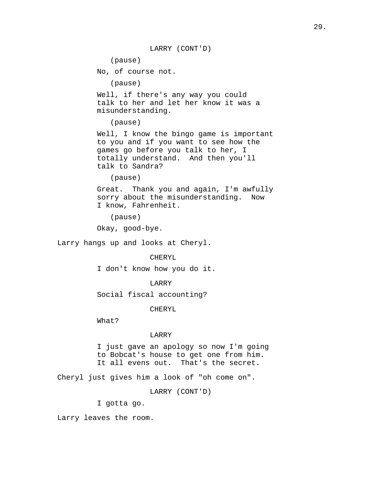LARRY (CONT'D) (pause) No, of course not. (pause) Well, if there's any way you could talk to her and let her know it was a misunderstanding. (pause) Well, I know the bingo game is important to you and if you want to see how the games go before you talk to her, I totally understand. And then you'll talk to Sandra? (pause) Great. Thank you and again, I'm awfully sorry about the misunderstanding. Now I know, Fahrenheit. (pause) Okay, good-bye. Larry hangs up and looks at Cheryl. CHERYL I don't know how you do it. LARRY Social fiscal accounting?

CHERYL

What?

# LARRY

I just gave an apology so now I'm going to Bobcat's house to get one from him. It all evens out. That's the secret.

Cheryl just gives him a look of "oh come on".

LARRY (CONT'D)

I gotta go.

Larry leaves the room.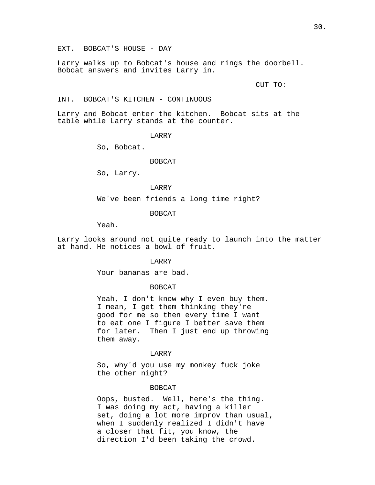Larry walks up to Bobcat's house and rings the doorbell. Bobcat answers and invites Larry in.

CUT TO:

INT. BOBCAT'S KITCHEN - CONTINUOUS

Larry and Bobcat enter the kitchen. Bobcat sits at the table while Larry stands at the counter.

LARRY

So, Bobcat.

### BOBCAT

So, Larry.

LARRY

We've been friends a long time right?

### BOBCAT

Yeah.

Larry looks around not quite ready to launch into the matter at hand. He notices a bowl of fruit.

#### LARRY

Your bananas are bad.

### BOBCAT

Yeah, I don't know why I even buy them. I mean, I get them thinking they're good for me so then every time I want to eat one I figure I better save them for later. Then I just end up throwing them away.

# LARRY

So, why'd you use my monkey fuck joke the other night?

### BOBCAT

Oops, busted. Well, here's the thing. I was doing my act, having a killer set, doing a lot more improv than usual, when I suddenly realized I didn't have a closer that fit, you know, the direction I'd been taking the crowd.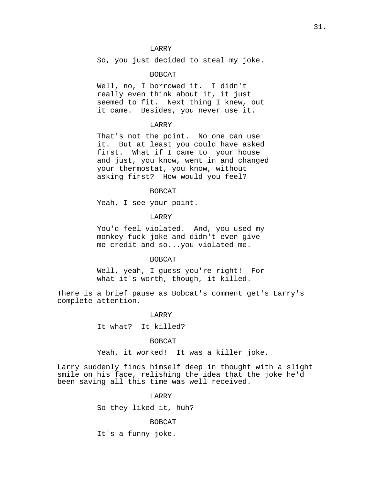So, you just decided to steal my joke.

# BOBCAT

Well, no, I borrowed it. I didn't really even think about it, it just seemed to fit. Next thing I knew, out it came. Besides, you never use it.

# LARRY

That's not the point. No one can use it. But at least you could have asked first. What if I came to your house and just, you know, went in and changed your thermostat, you know, without asking first? How would you feel?

### BOBCAT

Yeah, I see your point.

# LARRY

You'd feel violated. And, you used my monkey fuck joke and didn't even give me credit and so...you violated me.

## BOBCAT

Well, yeah, I guess you're right! For what it's worth, though, it killed.

There is a brief pause as Bobcat's comment get's Larry's complete attention.

### LARRY

It what? It killed?

#### BOBCAT

Yeah, it worked! It was a killer joke.

Larry suddenly finds himself deep in thought with a slight smile on his face, relishing the idea that the joke he'd been saving all this time was well received.

# LARRY

So they liked it, huh?

#### BOBCAT

It's a funny joke.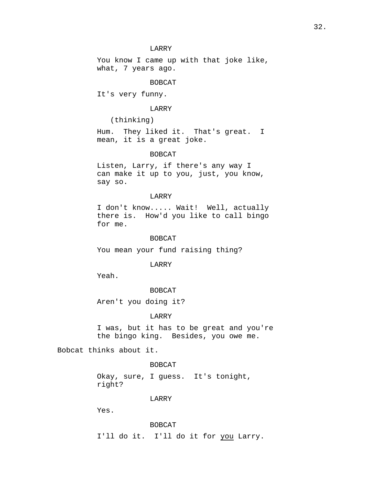You know I came up with that joke like, what, 7 years ago.

## BOBCAT

It's very funny.

# LARRY

(thinking)

Hum. They liked it. That's great. I mean, it is a great joke.

### BOBCAT

Listen, Larry, if there's any way I can make it up to you, just, you know, say so.

### LARRY

I don't know..... Wait! Well, actually there is. How'd you like to call bingo for me.

#### BOBCAT

You mean your fund raising thing?

# LARRY

Yeah.

# BOBCAT

Aren't you doing it?

# LARRY

I was, but it has to be great and you're the bingo king. Besides, you owe me.

Bobcat thinks about it.

## BOBCAT

Okay, sure, I guess. It's tonight, right?

#### LARRY

Yes.

#### BOBCAT

I'll do it. I'll do it for you Larry.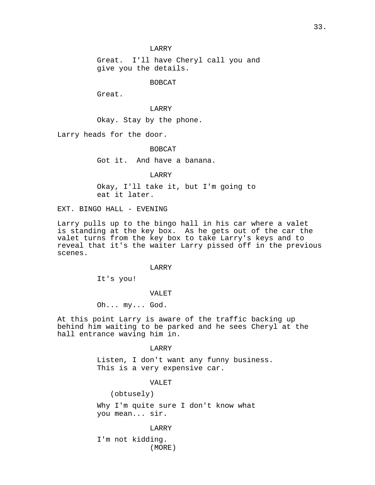Great. I'll have Cheryl call you and give you the details.

# BOBCAT

Great.

# LARRY

Okay. Stay by the phone.

Larry heads for the door.

BOBCAT

Got it. And have a banana.

LARRY

Okay, I'll take it, but I'm going to eat it later.

EXT. BINGO HALL - EVENING

Larry pulls up to the bingo hall in his car where a valet is standing at the key box. As he gets out of the car the valet turns from the key box to take Larry's keys and to reveal that it's the waiter Larry pissed off in the previous scenes.

## LARRY

It's you!

### VALET

Oh... my... God.

At this point Larry is aware of the traffic backing up behind him waiting to be parked and he sees Cheryl at the hall entrance waving him in.

### LARRY

Listen, I don't want any funny business. This is a very expensive car.

#### VALET

(obtusely)

Why I'm quite sure I don't know what you mean... sir.

#### LARRY

I'm not kidding. (MORE)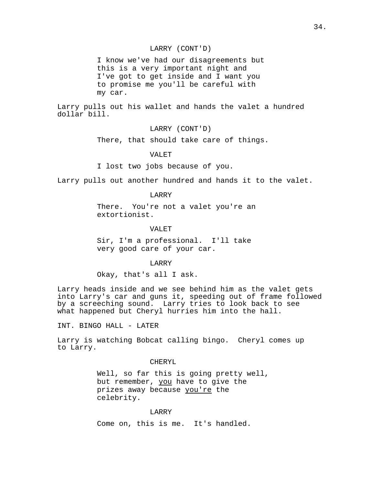# LARRY (CONT'D)

I know we've had our disagreements but this is a very important night and I've got to get inside and I want you to promise me you'll be careful with my car.

Larry pulls out his wallet and hands the valet a hundred dollar bill.

LARRY (CONT'D)

There, that should take care of things.

# VALET

I lost two jobs because of you.

Larry pulls out another hundred and hands it to the valet.

# LARRY

There. You're not a valet you're an extortionist.

# VALET

Sir, I'm a professional. I'll take very good care of your car.

LARRY

Okay, that's all I ask.

Larry heads inside and we see behind him as the valet gets into Larry's car and guns it, speeding out of frame followed by a screeching sound. Larry tries to look back to see what happened but Cheryl hurries him into the hall.

INT. BINGO HALL - LATER

Larry is watching Bobcat calling bingo. Cheryl comes up to Larry.

#### CHERYL

Well, so far this is going pretty well, but remember, you have to give the prizes away because you're the celebrity.

#### LARRY

Come on, this is me. It's handled.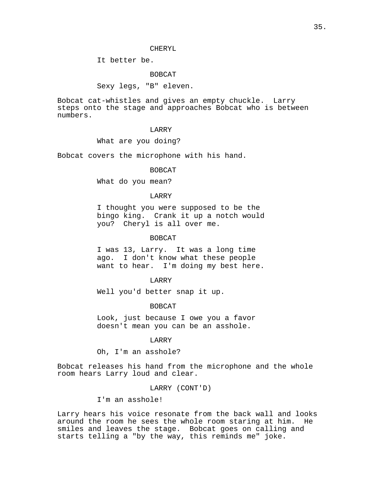### CHERYL

It better be.

# BOBCAT

Sexy legs, "B" eleven.

Bobcat cat-whistles and gives an empty chuckle. Larry steps onto the stage and approaches Bobcat who is between numbers.

## LARRY

What are you doing?

Bobcat covers the microphone with his hand.

# BOBCAT

What do you mean?

### LARRY

I thought you were supposed to be the bingo king. Crank it up a notch would you? Cheryl is all over me.

### BOBCAT

I was 13, Larry. It was a long time ago. I don't know what these people want to hear. I'm doing my best here.

### LARRY

Well you'd better snap it up.

# BOBCAT

Look, just because I owe you a favor doesn't mean you can be an asshole.

# LARRY

Oh, I'm an asshole?

Bobcat releases his hand from the microphone and the whole room hears Larry loud and clear.

LARRY (CONT'D)

I'm an asshole!

Larry hears his voice resonate from the back wall and looks around the room he sees the whole room staring at him. He smiles and leaves the stage. Bobcat goes on calling and starts telling a "by the way, this reminds me" joke.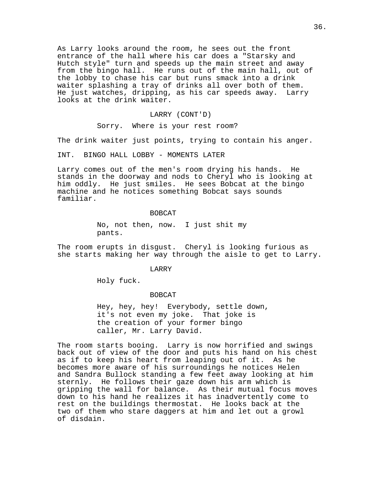As Larry looks around the room, he sees out the front entrance of the hall where his car does a "Starsky and Hutch style" turn and speeds up the main street and away from the bingo hall. He runs out of the main hall, out of the lobby to chase his car but runs smack into a drink waiter splashing a tray of drinks all over both of them. He just watches, dripping, as his car speeds away. Larry looks at the drink waiter.

### LARRY (CONT'D)

Sorry. Where is your rest room?

The drink waiter just points, trying to contain his anger.

INT. BINGO HALL LOBBY - MOMENTS LATER

Larry comes out of the men's room drying his hands. He stands in the doorway and nods to Cheryl who is looking at him oddly. He just smiles. He sees Bobcat at the bingo machine and he notices something Bobcat says sounds familiar.

#### BOBCAT

No, not then, now. I just shit my pants.

The room erupts in disgust. Cheryl is looking furious as she starts making her way through the aisle to get to Larry.

### LARRY

Holy fuck.

#### BOBCAT

Hey, hey, hey! Everybody, settle down, it's not even my joke. That joke is the creation of your former bingo caller, Mr. Larry David.

The room starts booing. Larry is now horrified and swings back out of view of the door and puts his hand on his chest as if to keep his heart from leaping out of it. As he becomes more aware of his surroundings he notices Helen and Sandra Bullock standing a few feet away looking at him sternly. He follows their gaze down his arm which is gripping the wall for balance. As their mutual focus moves down to his hand he realizes it has inadvertently come to rest on the buildings thermostat. He looks back at the two of them who stare daggers at him and let out a growl of disdain.